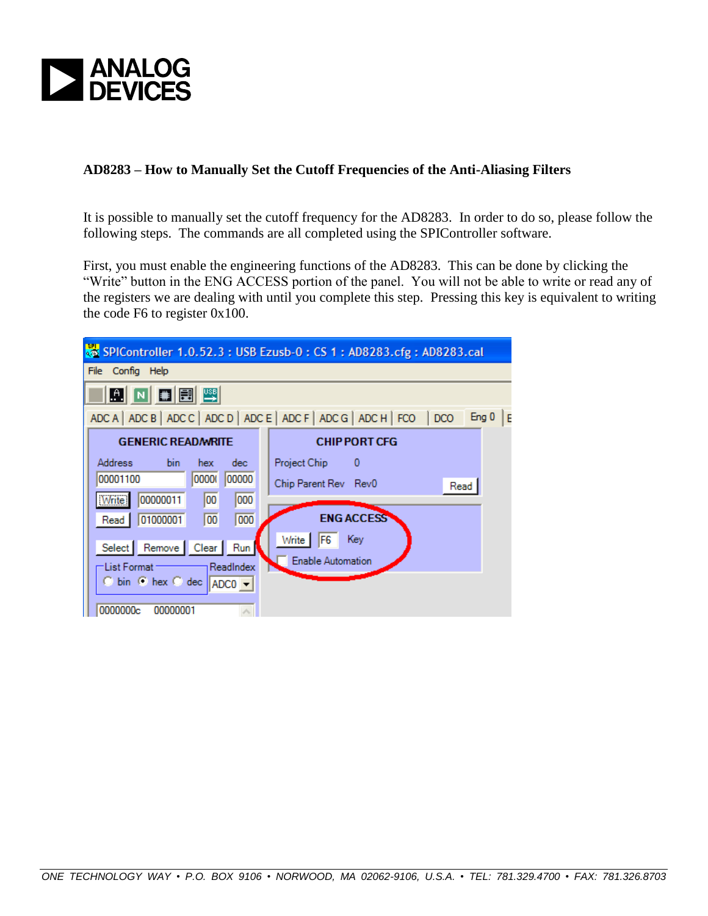

## **AD8283 – How to Manually Set the Cutoff Frequencies of the Anti-Aliasing Filters**

It is possible to manually set the cutoff frequency for the AD8283. In order to do so, please follow the following steps. The commands are all completed using the SPIController software.

First, you must enable the engineering functions of the AD8283. This can be done by clicking the "Write" button in the ENG ACCESS portion of the panel. You will not be able to write or read any of the registers we are dealing with until you complete this step. Pressing this key is equivalent to writing the code F6 to register 0x100.

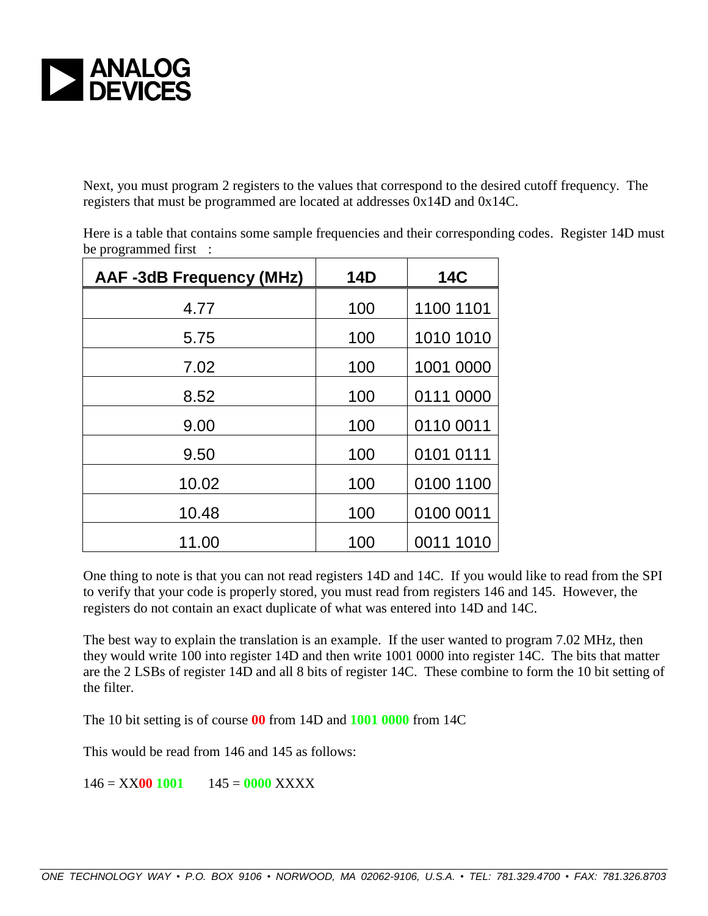

Next, you must program 2 registers to the values that correspond to the desired cutoff frequency. The registers that must be programmed are located at addresses 0x14D and 0x14C.

| <b>AAF-3dB Frequency (MHz)</b> | <b>14D</b> | <b>14C</b> |
|--------------------------------|------------|------------|
| 4.77                           | 100        | 1100 1101  |
| 5.75                           | 100        | 1010 1010  |
| 7.02                           | 100        | 1001 0000  |
| 8.52                           | 100        | 0111 0000  |
| 9.00                           | 100        | 0110 0011  |
| 9.50                           | 100        | 0101 0111  |
| 10.02                          | 100        | 0100 1100  |
| 10.48                          | 100        | 0100 0011  |
| 11.00                          | 100        | 0011 1010  |

Here is a table that contains some sample frequencies and their corresponding codes. Register 14D must be programmed first :

One thing to note is that you can not read registers 14D and 14C. If you would like to read from the SPI to verify that your code is properly stored, you must read from registers 146 and 145. However, the registers do not contain an exact duplicate of what was entered into 14D and 14C.

The best way to explain the translation is an example. If the user wanted to program 7.02 MHz, then they would write 100 into register 14D and then write 1001 0000 into register 14C. The bits that matter are the 2 LSBs of register 14D and all 8 bits of register 14C. These combine to form the 10 bit setting of the filter.

The 10 bit setting is of course **00** from 14D and **1001 0000** from 14C

This would be read from 146 and 145 as follows:

146 = XX**00 1001** 145 = **0000** XXXX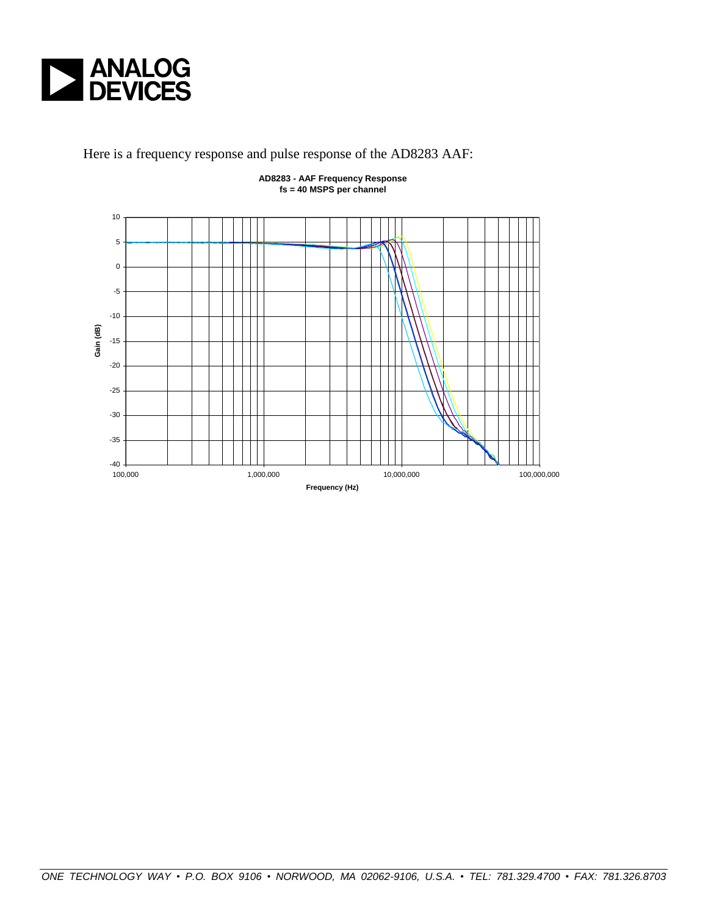

Here is a frequency response and pulse response of the AD8283 AAF:



**AD8283 - AAF Frequency Response fs = 40 MSPS per channel**